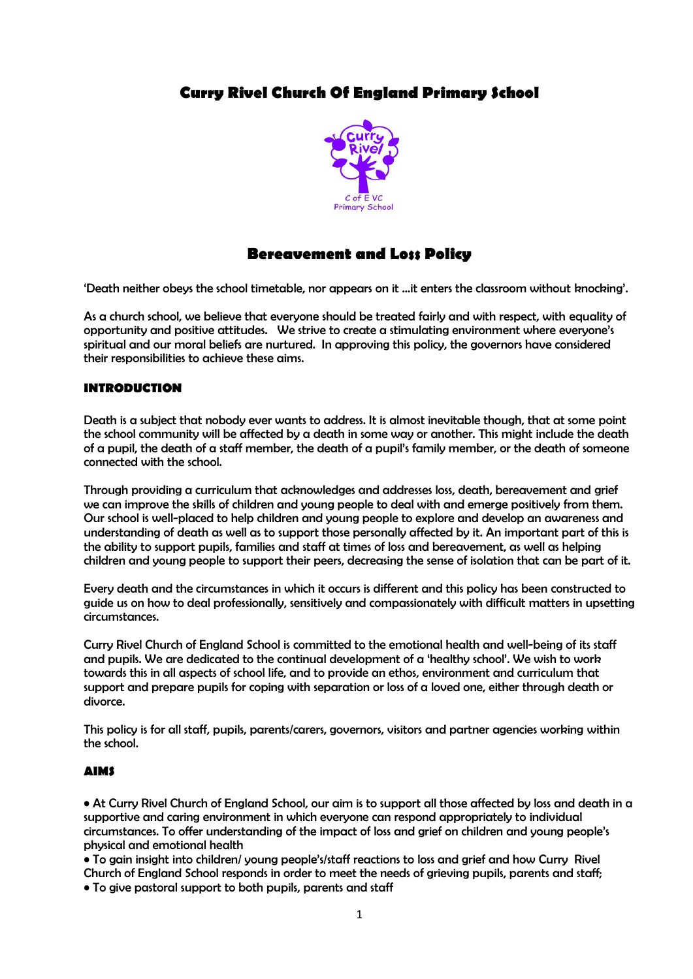# **Curry Rivel Church Of England Primary School**



# **Bereavement and Loss Policy**

'Death neither obeys the school timetable, nor appears on it ...it enters the classroom without knocking'.

As a church school, we believe that everyone should be treated fairly and with respect, with equality of opportunity and positive attitudes. We strive to create a stimulating environment where everyone's spiritual and our moral beliefs are nurtured. In approving this policy, the governors have considered their responsibilities to achieve these aims.

## **INTRODUCTION**

Death is a subject that nobody ever wants to address. It is almost inevitable though, that at some point the school community will be affected by a death in some way or another. This might include the death of a pupil, the death of a staff member, the death of a pupil's family member, or the death of someone connected with the school.

Through providing a curriculum that acknowledges and addresses loss, death, bereavement and grief we can improve the skills of children and young people to deal with and emerge positively from them. Our school is well-placed to help children and young people to explore and develop an awareness and understanding of death as well as to support those personally affected by it. An important part of this is the ability to support pupils, families and staff at times of loss and bereavement, as well as helping children and young people to support their peers, decreasing the sense of isolation that can be part of it.

Every death and the circumstances in which it occurs is different and this policy has been constructed to guide us on how to deal professionally, sensitively and compassionately with difficult matters in upsetting circumstances.

Curry Rivel Church of England School is committed to the emotional health and well-being of its staff and pupils. We are dedicated to the continual development of a 'healthy school'. We wish to work towards this in all aspects of school life, and to provide an ethos, environment and curriculum that support and prepare pupils for coping with separation or loss of a loved one, either through death or divorce.

This policy is for all staff, pupils, parents/carers, governors, visitors and partner agencies working within the school.

## **AIMS**

• At Curry Rivel Church of England School, our aim is to support all those affected by loss and death in a supportive and caring environment in which everyone can respond appropriately to individual circumstances. To offer understanding of the impact of loss and grief on children and young people's physical and emotional health

• To gain insight into children/ young people's/staff reactions to loss and grief and how Curry Rivel Church of England School responds in order to meet the needs of grieving pupils, parents and staff; • To give pastoral support to both pupils, parents and staff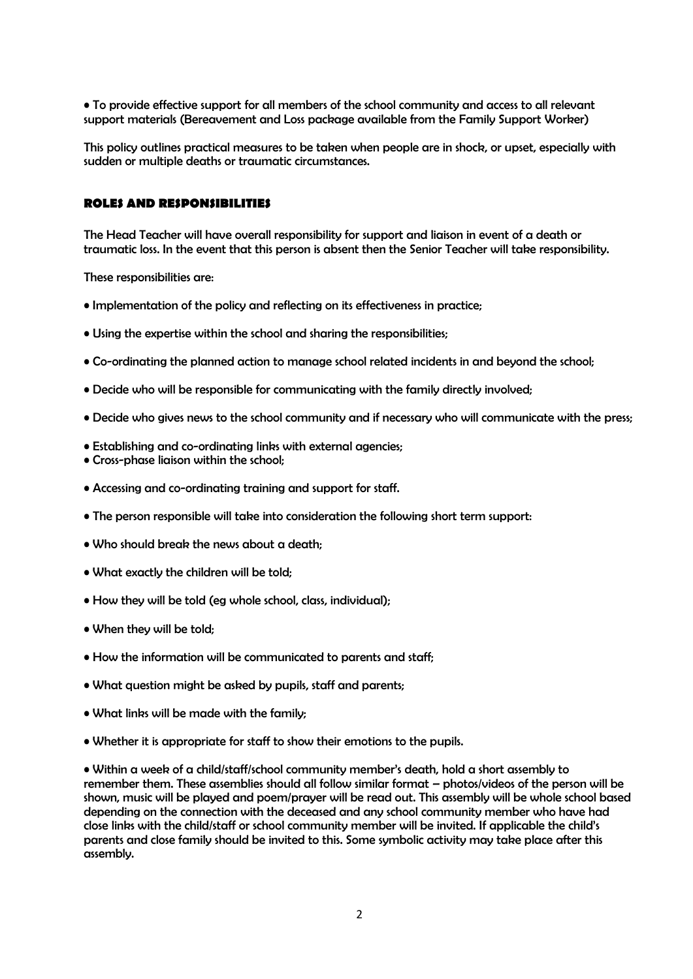• To provide effective support for all members of the school community and access to all relevant support materials (Bereavement and Loss package available from the Family Support Worker)

This policy outlines practical measures to be taken when people are in shock, or upset, especially with sudden or multiple deaths or traumatic circumstances.

## **ROLES AND RESPONSIBILITIES**

The Head Teacher will have overall responsibility for support and liaison in event of a death or traumatic loss. In the event that this person is absent then the Senior Teacher will take responsibility.

These responsibilities are:

- Implementation of the policy and reflecting on its effectiveness in practice;
- Using the expertise within the school and sharing the responsibilities;
- Co-ordinating the planned action to manage school related incidents in and beyond the school;
- Decide who will be responsible for communicating with the family directly involved;
- Decide who gives news to the school community and if necessary who will communicate with the press;
- Establishing and co-ordinating links with external agencies;
- Cross-phase liaison within the school;
- Accessing and co-ordinating training and support for staff.
- The person responsible will take into consideration the following short term support:
- Who should break the news about a death;
- What exactly the children will be told;
- How they will be told (eg whole school, class, individual);
- When they will be told;
- How the information will be communicated to parents and staff;
- What question might be asked by pupils, staff and parents;
- What links will be made with the family;
- Whether it is appropriate for staff to show their emotions to the pupils.

• Within a week of a child/staff/school community member's death, hold a short assembly to remember them. These assemblies should all follow similar format – photos/videos of the person will be shown, music will be played and poem/prayer will be read out. This assembly will be whole school based depending on the connection with the deceased and any school community member who have had close links with the child/staff or school community member will be invited. If applicable the child's parents and close family should be invited to this. Some symbolic activity may take place after this assembly.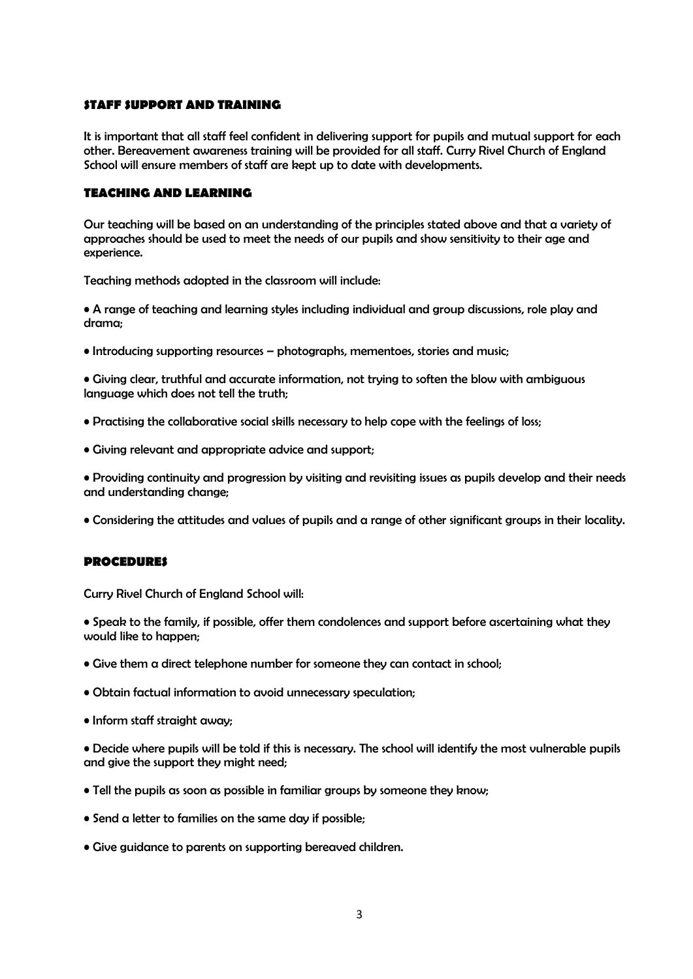#### **STAFF SUPPORT AND TRAINING**

It is important that all staff feel confident in delivering support for pupils and mutual support for each other. Bereavement awareness training will be provided for all staff. Curry Rivel Church of England School will ensure members of staff are kept up to date with developments.

## **TEACHING AND LEARNING**

Our teaching will be based on an understanding of the principles stated above and that a variety of approaches should be used to meet the needs of our pupils and show sensitivity to their age and experience.

Teaching methods adopted in the classroom will include:

• A range of teaching and learning styles including individual and group discussions, role play and drama;

• Introducing supporting resources – photographs, mementoes, stories and music;

• Giving clear, truthful and accurate information, not trying to soften the blow with ambiguous language which does not tell the truth;

- Practising the collaborative social skills necessary to help cope with the feelings of loss;
- Giving relevant and appropriate advice and support;

• Providing continuity and progression by visiting and revisiting issues as pupils develop and their needs and understanding change;

• Considering the attitudes and values of pupils and a range of other significant groups in their locality.

#### **PROCEDURES**

Curry Rivel Church of England School will:

- Speak to the family, if possible, offer them condolences and support before ascertaining what they would like to happen;
- Give them a direct telephone number for someone they can contact in school;
- Obtain factual information to avoid unnecessary speculation;
- Inform staff straight away;

• Decide where pupils will be told if this is necessary. The school will identify the most vulnerable pupils and give the support they might need;

- Tell the pupils as soon as possible in familiar groups by someone they know;
- Send a letter to families on the same day if possible;
- Give guidance to parents on supporting bereaved children.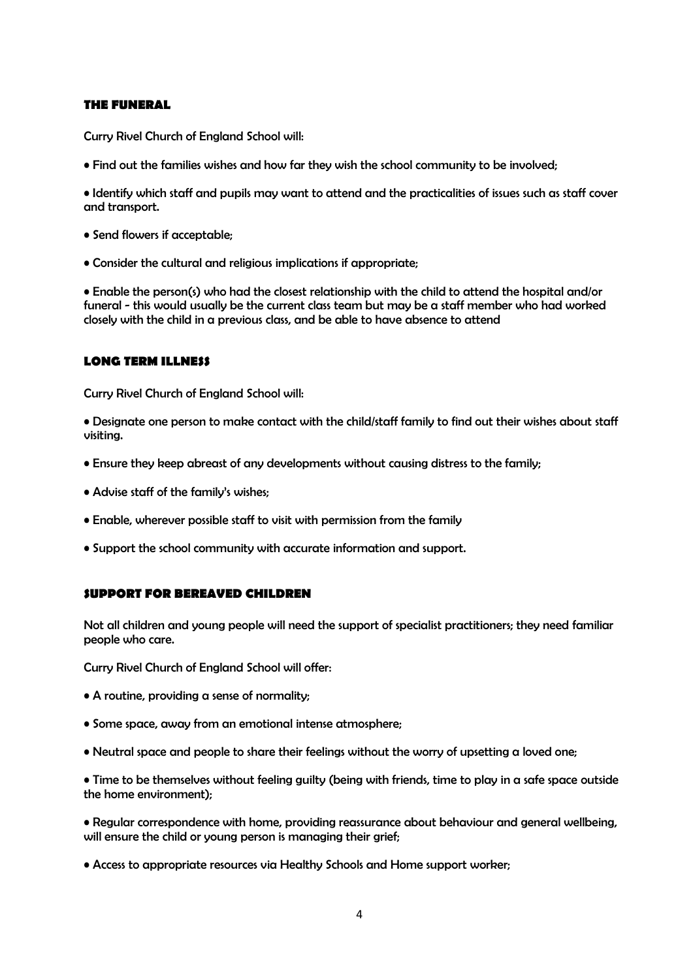## **THE FUNERAL**

Curry Rivel Church of England School will:

• Find out the families wishes and how far they wish the school community to be involved;

• Identify which staff and pupils may want to attend and the practicalities of issues such as staff cover and transport.

- Send flowers if acceptable;
- Consider the cultural and religious implications if appropriate;

• Enable the person(s) who had the closest relationship with the child to attend the hospital and/or funeral - this would usually be the current class team but may be a staff member who had worked closely with the child in a previous class, and be able to have absence to attend

## **LONG TERM ILLNESS**

Curry Rivel Church of England School will:

• Designate one person to make contact with the child/staff family to find out their wishes about staff visiting.

- Ensure they keep abreast of any developments without causing distress to the family;
- Advise staff of the family's wishes;
- Enable, wherever possible staff to visit with permission from the family
- Support the school community with accurate information and support.

#### **SUPPORT FOR BEREAVED CHILDREN**

Not all children and young people will need the support of specialist practitioners; they need familiar people who care.

Curry Rivel Church of England School will offer:

- A routine, providing a sense of normality;
- Some space, away from an emotional intense atmosphere;
- Neutral space and people to share their feelings without the worry of upsetting a loved one;

• Time to be themselves without feeling guilty (being with friends, time to play in a safe space outside the home environment);

• Regular correspondence with home, providing reassurance about behaviour and general wellbeing, will ensure the child or young person is managing their grief;

• Access to appropriate resources via Healthy Schools and Home support worker;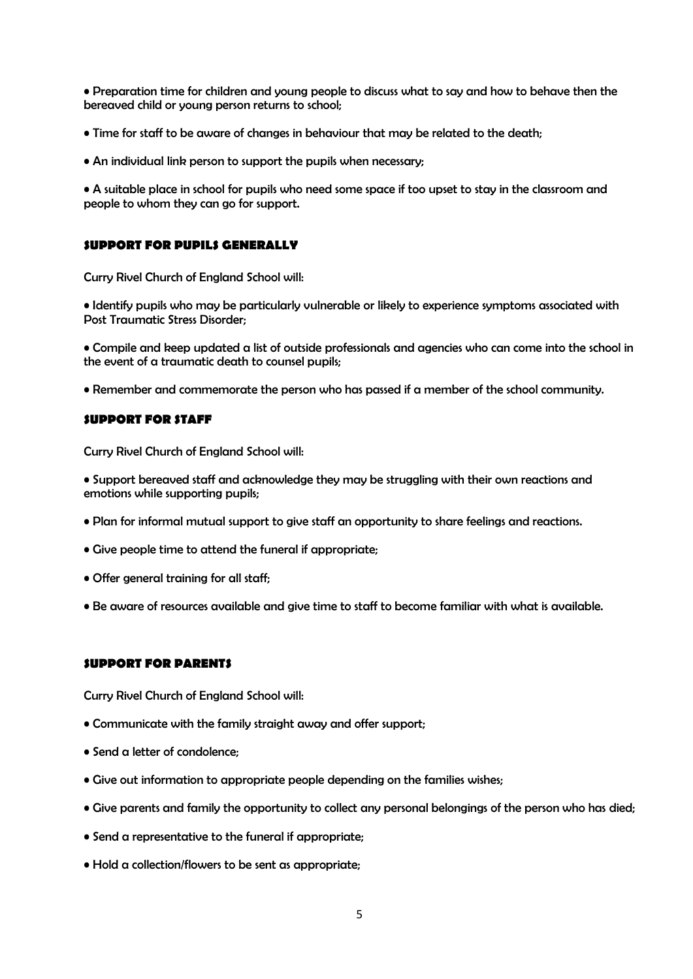• Preparation time for children and young people to discuss what to say and how to behave then the bereaved child or young person returns to school;

• Time for staff to be aware of changes in behaviour that may be related to the death;

• An individual link person to support the pupils when necessary;

• A suitable place in school for pupils who need some space if too upset to stay in the classroom and people to whom they can go for support.

## **SUPPORT FOR PUPILS GENERALLY**

Curry Rivel Church of England School will:

• Identify pupils who may be particularly vulnerable or likely to experience symptoms associated with Post Traumatic Stress Disorder;

• Compile and keep updated a list of outside professionals and agencies who can come into the school in the event of a traumatic death to counsel pupils;

• Remember and commemorate the person who has passed if a member of the school community.

#### **SUPPORT FOR STAFF**

Curry Rivel Church of England School will:

• Support bereaved staff and acknowledge they may be struggling with their own reactions and emotions while supporting pupils;

- Plan for informal mutual support to give staff an opportunity to share feelings and reactions.
- Give people time to attend the funeral if appropriate;
- Offer general training for all staff;
- Be aware of resources available and give time to staff to become familiar with what is available.

#### **SUPPORT FOR PARENTS**

Curry Rivel Church of England School will:

- Communicate with the family straight away and offer support;
- Send a letter of condolence;
- Give out information to appropriate people depending on the families wishes;
- Give parents and family the opportunity to collect any personal belongings of the person who has died;
- Send a representative to the funeral if appropriate;
- Hold a collection/flowers to be sent as appropriate;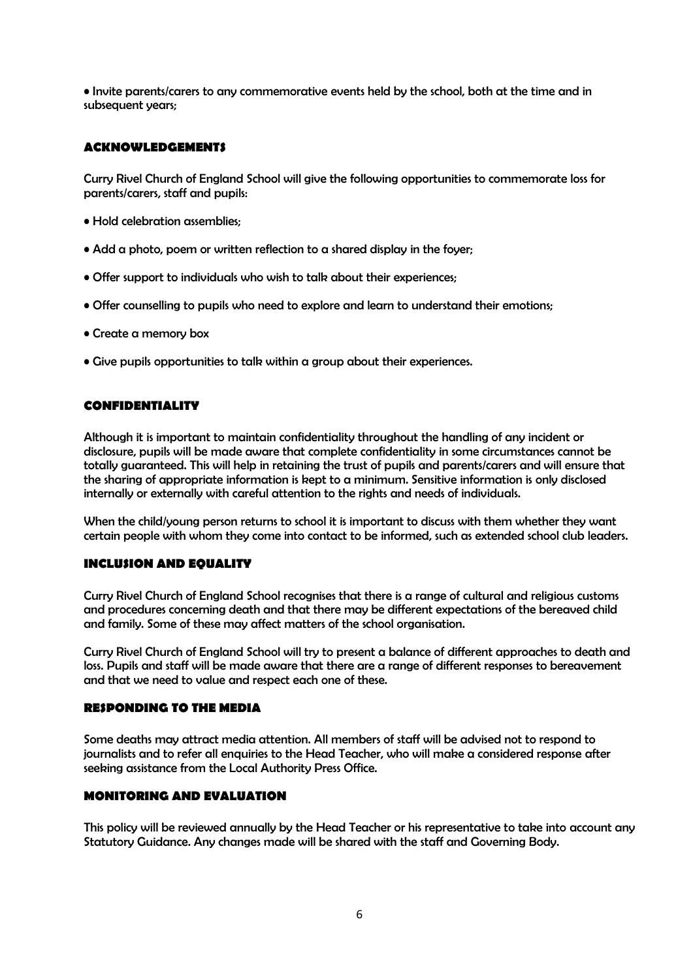• Invite parents/carers to any commemorative events held by the school, both at the time and in subsequent years;

## **ACKNOWLEDGEMENTS**

Curry Rivel Church of England School will give the following opportunities to commemorate loss for parents/carers, staff and pupils:

- Hold celebration assemblies;
- Add a photo, poem or written reflection to a shared display in the foyer;
- Offer support to individuals who wish to talk about their experiences;
- Offer counselling to pupils who need to explore and learn to understand their emotions;
- Create a memory box
- Give pupils opportunities to talk within a group about their experiences.

## **CONFIDENTIALITY**

Although it is important to maintain confidentiality throughout the handling of any incident or disclosure, pupils will be made aware that complete confidentiality in some circumstances cannot be totally guaranteed. This will help in retaining the trust of pupils and parents/carers and will ensure that the sharing of appropriate information is kept to a minimum. Sensitive information is only disclosed internally or externally with careful attention to the rights and needs of individuals.

When the child/young person returns to school it is important to discuss with them whether they want certain people with whom they come into contact to be informed, such as extended school club leaders.

## **INCLUSION AND EQUALITY**

Curry Rivel Church of England School recognises that there is a range of cultural and religious customs and procedures concerning death and that there may be different expectations of the bereaved child and family. Some of these may affect matters of the school organisation.

Curry Rivel Church of England School will try to present a balance of different approaches to death and loss. Pupils and staff will be made aware that there are a range of different responses to bereavement and that we need to value and respect each one of these.

## **RESPONDING TO THE MEDIA**

Some deaths may attract media attention. All members of staff will be advised not to respond to journalists and to refer all enquiries to the Head Teacher, who will make a considered response after seeking assistance from the Local Authority Press Office.

# **MONITORING AND EVALUATION**

This policy will be reviewed annually by the Head Teacher or his representative to take into account any Statutory Guidance. Any changes made will be shared with the staff and Governing Body.